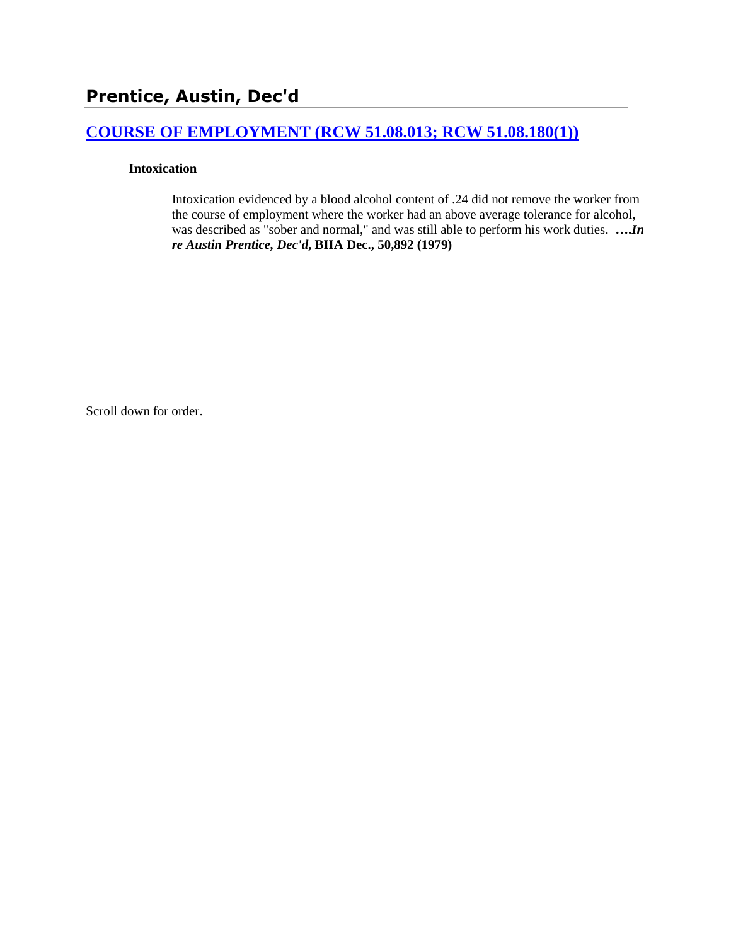# **[COURSE OF EMPLOYMENT \(RCW 51.08.013; RCW 51.08.180\(1\)\)](http://www.biia.wa.gov/SDSubjectIndex.html#COURSE_OF_EMPLOYMENT)**

### **Intoxication**

Intoxication evidenced by a blood alcohol content of .24 did not remove the worker from the course of employment where the worker had an above average tolerance for alcohol, was described as "sober and normal," and was still able to perform his work duties. **….***In re Austin Prentice, Dec'd***, BIIA Dec., 50,892 (1979)** 

Scroll down for order.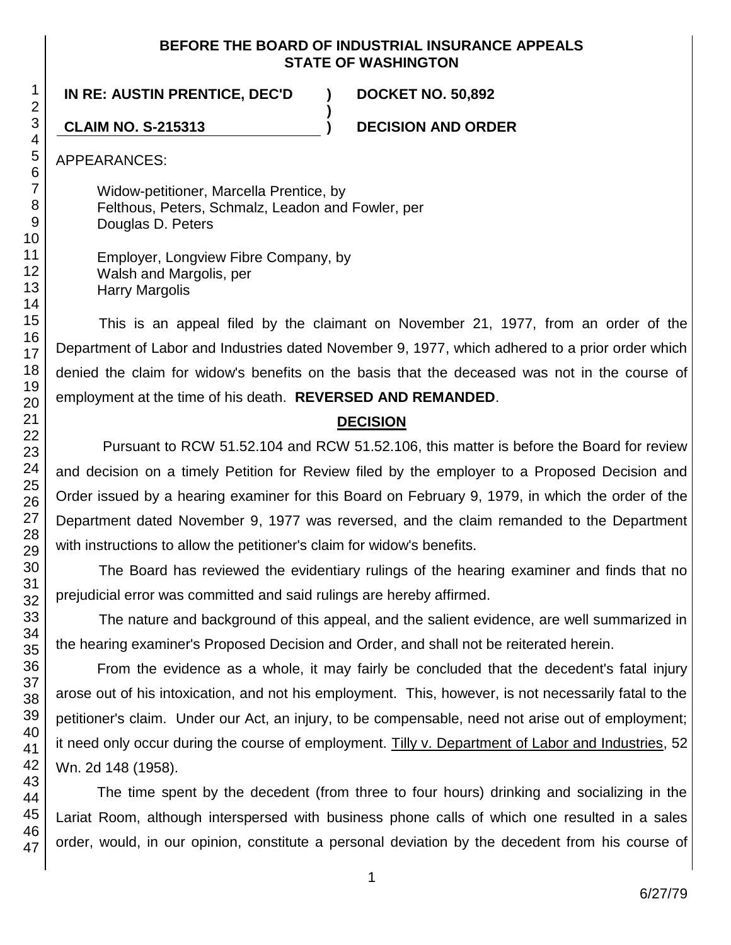### **BEFORE THE BOARD OF INDUSTRIAL INSURANCE APPEALS STATE OF WASHINGTON**

**)**

### **IN RE: AUSTIN PRENTICE, DEC'D ) DOCKET NO. 50,892**

**CLAIM NO. S-215313 ) DECISION AND ORDER**

APPEARANCES:

Widow-petitioner, Marcella Prentice, by Felthous, Peters, Schmalz, Leadon and Fowler, per Douglas D. Peters

Employer, Longview Fibre Company, by Walsh and Margolis, per Harry Margolis

This is an appeal filed by the claimant on November 21, 1977, from an order of the Department of Labor and Industries dated November 9, 1977, which adhered to a prior order which denied the claim for widow's benefits on the basis that the deceased was not in the course of employment at the time of his death. **REVERSED AND REMANDED**.

### **DECISION**

Pursuant to RCW 51.52.104 and RCW 51.52.106, this matter is before the Board for review and decision on a timely Petition for Review filed by the employer to a Proposed Decision and Order issued by a hearing examiner for this Board on February 9, 1979, in which the order of the Department dated November 9, 1977 was reversed, and the claim remanded to the Department with instructions to allow the petitioner's claim for widow's benefits.

The Board has reviewed the evidentiary rulings of the hearing examiner and finds that no prejudicial error was committed and said rulings are hereby affirmed.

The nature and background of this appeal, and the salient evidence, are well summarized in the hearing examiner's Proposed Decision and Order, and shall not be reiterated herein.

From the evidence as a whole, it may fairly be concluded that the decedent's fatal injury arose out of his intoxication, and not his employment. This, however, is not necessarily fatal to the petitioner's claim. Under our Act, an injury, to be compensable, need not arise out of employment; it need only occur during the course of employment. Tilly v. Department of Labor and Industries, 52 Wn. 2d 148 (1958).

The time spent by the decedent (from three to four hours) drinking and socializing in the Lariat Room, although interspersed with business phone calls of which one resulted in a sales order, would, in our opinion, constitute a personal deviation by the decedent from his course of

1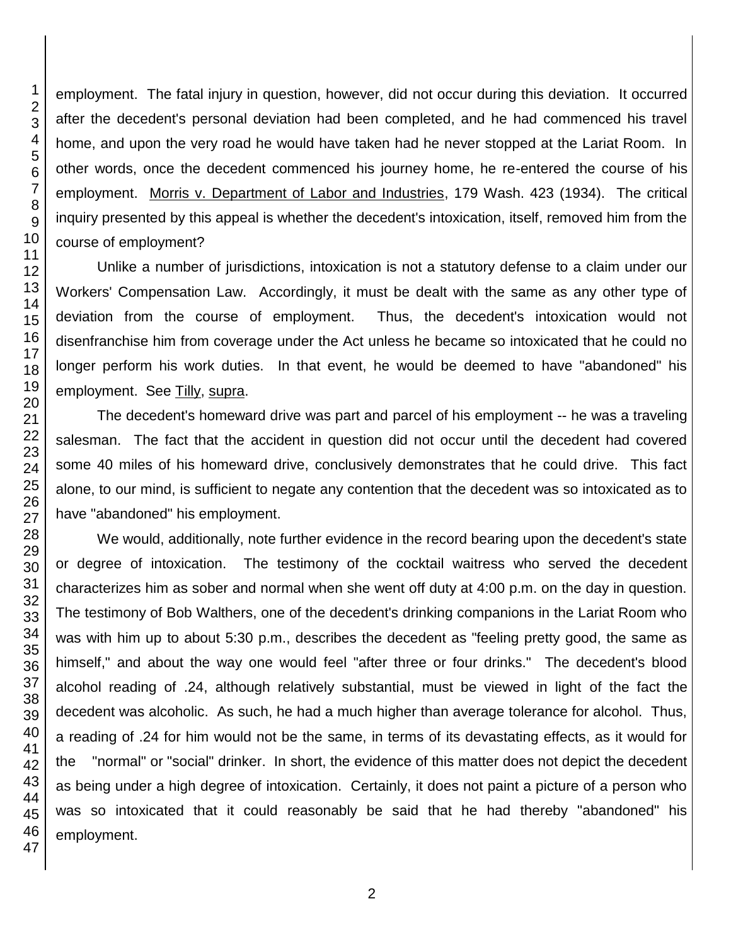employment. The fatal injury in question, however, did not occur during this deviation. It occurred after the decedent's personal deviation had been completed, and he had commenced his travel home, and upon the very road he would have taken had he never stopped at the Lariat Room. In other words, once the decedent commenced his journey home, he re-entered the course of his employment. Morris v. Department of Labor and Industries, 179 Wash. 423 (1934). The critical inquiry presented by this appeal is whether the decedent's intoxication, itself, removed him from the course of employment?

Unlike a number of jurisdictions, intoxication is not a statutory defense to a claim under our Workers' Compensation Law. Accordingly, it must be dealt with the same as any other type of deviation from the course of employment. Thus, the decedent's intoxication would not disenfranchise him from coverage under the Act unless he became so intoxicated that he could no longer perform his work duties. In that event, he would be deemed to have "abandoned" his employment. See Tilly, supra.

The decedent's homeward drive was part and parcel of his employment -- he was a traveling salesman. The fact that the accident in question did not occur until the decedent had covered some 40 miles of his homeward drive, conclusively demonstrates that he could drive. This fact alone, to our mind, is sufficient to negate any contention that the decedent was so intoxicated as to have "abandoned" his employment.

We would, additionally, note further evidence in the record bearing upon the decedent's state or degree of intoxication. The testimony of the cocktail waitress who served the decedent characterizes him as sober and normal when she went off duty at 4:00 p.m. on the day in question. The testimony of Bob Walthers, one of the decedent's drinking companions in the Lariat Room who was with him up to about 5:30 p.m., describes the decedent as "feeling pretty good, the same as himself," and about the way one would feel "after three or four drinks." The decedent's blood alcohol reading of .24, although relatively substantial, must be viewed in light of the fact the decedent was alcoholic. As such, he had a much higher than average tolerance for alcohol. Thus, a reading of .24 for him would not be the same, in terms of its devastating effects, as it would for the "normal" or "social" drinker. In short, the evidence of this matter does not depict the decedent as being under a high degree of intoxication. Certainly, it does not paint a picture of a person who was so intoxicated that it could reasonably be said that he had thereby "abandoned" his employment.